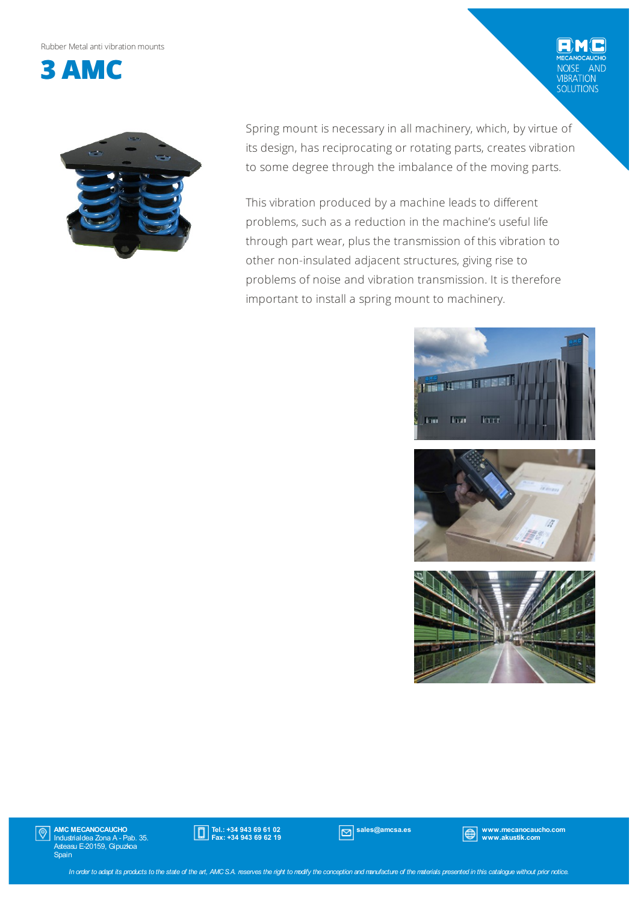Rubber Metalanti vibrationmounts





Spring mount is necessary in all machinery, which, by virtue of its design, has reciprocating or rotating parts, creates vibration to some degree through the imbalance of the moving parts.

This vibration produced by a machine leads to different problems, such as a reduction in the machine's useful life through part wear, plus the transmission of this vibration to other non-insulated adjacent structures, giving rise to problems of noise and vibration transmission. It is therefore important to install a spring mount to machinery.



学

AND

VIBRATION<br>SOLUTIONS



AMC MECANOCAUCHO Industrialdea Zona A - Pab. 35. Asteasu E-20159, Gipuzkoa Spain  $|\mathbb{O}|$ 



sales@amcsa.es www.mecanocaucho.com www.akustik.com

In order to adapt its products to the state of the art, AMCS.A. reserves the right to modify the conception and manufacture of the materials presented in this catalogue without prior notice.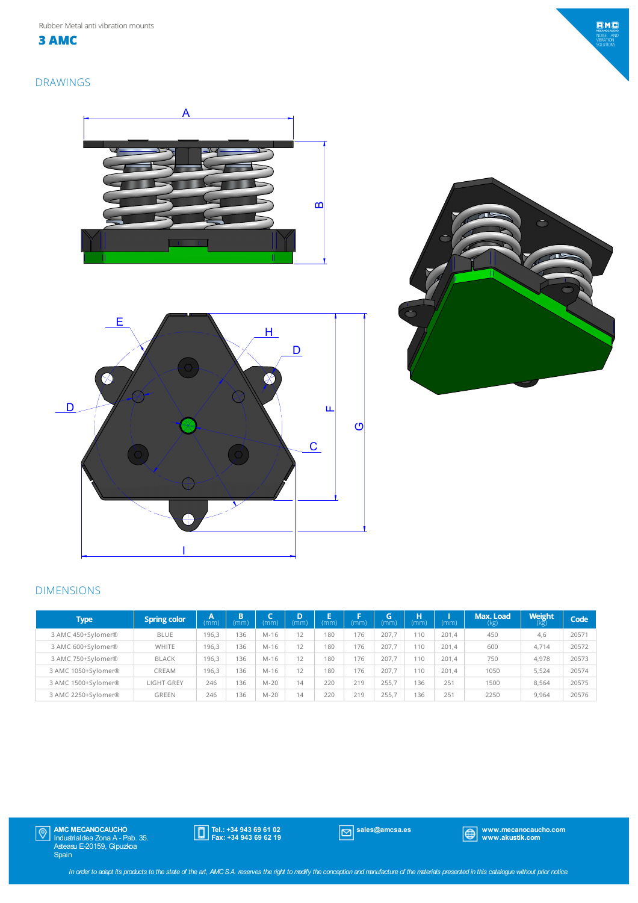

**3 AMC**





### DIMENSIONS

| Type                | <b>Spring color</b> | 74<br>(mm) | B<br>(mm) | (mm)     | D<br>(mm) | F<br>'mm' | (mm) | G<br>(mm) | н<br>(mm) | (mm)  | Max. Load<br>(kg) | <b>Weight</b><br>(kg) | Code  |
|---------------------|---------------------|------------|-----------|----------|-----------|-----------|------|-----------|-----------|-------|-------------------|-----------------------|-------|
| 3 AMC 450+Sylomer®  | <b>BLUE</b>         | 196.3      | 136       | M-16     | 12        | 180       | 176  | 207.7     | 110       | 201.4 | 450               | 4,6                   | 20571 |
| 3 AMC 600+Sylomer®  | WHITE               | 196.3      | 136       | M-16     | 12        | 180       | 176  | 207.7     | 110       | 201.4 | 600               | 4.714                 | 20572 |
| 3 AMC 750+Sylomer®  | <b>BLACK</b>        | 196.3      | 136       | M-16     | 12        | 180       | 176  | 207.7     | 110       | 201.4 | 750               | 4.978                 | 20573 |
| 3 AMC 1050+Sylomer® | CREAM               | 196.3      | 136       | M-16     | 12        | 180       | 176  | 207.7     | 110       | 201.4 | 1050              | 5.524                 | 20574 |
| 3 AMC 1500+Sylomer® | <b>LIGHT GREY</b>   | 246        | 136       | $M - 20$ | 14        | 220       | 219  | 255.7     | 136       | 251   | 1500              | 8.564                 | 20575 |
| 3 AMC 2250+Sylomer® | GREEN               | 246        | 136       | M-20     | 14        | 220       | 219  | 255.7     | 136       | 251   | 2250              | 9,964                 | 20576 |

AMC MECANOCAUCHO Industrialdea Zona A - Pab. 35. Asteasu E-20159, Gipuzkoa Spain

Tel.: +34 943 69 61 02 Fax: +34 943 69 62 19

sales@amcsa.es www.mecanocaucho.com www.akustik.com

In order to adapt its products to the state of the art, AMCS.A. reserves the right to modify the conception and manufacture of the materials presented in this catalogue without prior notice.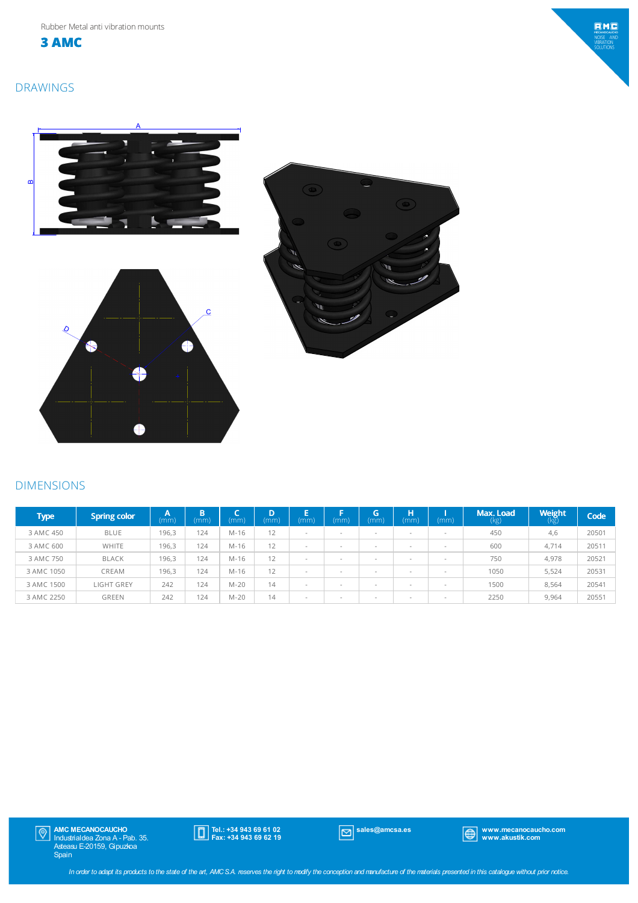**3 AMC**

# $EMC$ MECANOCAUCH<br>NOISE ANI<br>VIBRATION<br>SOLUTIONS

# DRAWINGS



## DIMENSIONS

| <b>Type</b> | <b>Spring color</b> | A<br>(mm) | Б<br>ь<br>(mm) | -<br>(mm) | (mm) | Е<br>(mm)                | Е<br>(mm)                | (п<br>(mm)               | н<br>(mm)                | (mm)                     | Max. Load<br>(kg) | Weight<br>(Kg) | Code  |
|-------------|---------------------|-----------|----------------|-----------|------|--------------------------|--------------------------|--------------------------|--------------------------|--------------------------|-------------------|----------------|-------|
| 3 AMC 450   | <b>BLUE</b>         | 196,3     | 124            | M-16      | 12   |                          | ٠                        | -                        |                          | $\overline{\phantom{a}}$ | 450               | 4,6            | 20501 |
| 3 AMC 600   | <b>WHITE</b>        | 196,3     | 124            | M-16      | 12   | $\overline{\phantom{a}}$ | $\overline{\phantom{a}}$ | $\overline{\phantom{a}}$ |                          | $\overline{\phantom{a}}$ | 600               | 4.714          | 20511 |
| 3 AMC 750   | <b>BLACK</b>        | 196,3     | 124            | M-16      | 12   | $\overline{\phantom{a}}$ |                          | $\overline{\phantom{a}}$ | $\overline{\phantom{a}}$ | $\overline{\phantom{a}}$ | 750               | 4.978          | 20521 |
| 3 AMC 1050  | CREAM               | 196,3     | 124            | M-16      | 12   |                          | ٠                        | $\overline{\phantom{a}}$ | $\overline{\phantom{a}}$ | $\overline{\phantom{a}}$ | 1050              | 5.524          | 20531 |
| 3 AMC 1500  | LIGHT GREY          | 242       | 124            | $M-20$    | 14   | $\overline{\phantom{a}}$ | $\overline{\phantom{a}}$ | -                        | $\overline{\phantom{a}}$ | $\overline{\phantom{a}}$ | 1500              | 8.564          | 20541 |
| 3 AMC 2250  | <b>GREEN</b>        | 242       | 124            | $M-20$    | 14   | $\overline{\phantom{a}}$ | ٠                        | -                        | $\overline{\phantom{a}}$ | $\overline{\phantom{a}}$ | 2250              | 9,964          | 20551 |